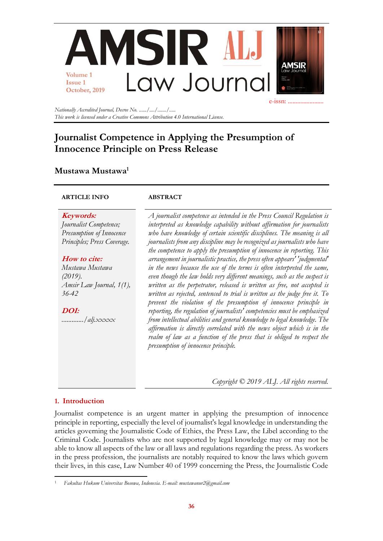

*Nationally Accredited Journal, Decree No. ....../..../......./..... This work is licensed under a Creative Commons Attribution 4.0 International License.*

# **Journalist Competence in Applying the Presumption of Innocence Principle on Press Release**

# **Mustawa Mustawa<sup>1</sup>**

## **ARTICLE INFO ABSTRACT**

**Keywords:** *Journalist Competence; Presumption of Innocence Principles; Press Coverage.*

# **How to cite:**

*Mustawa Mustawa (2019). Amsir Law Journal, 1(1), 36-42*

**DOI:** *............./alj.xxxxx*

*A journalist competence as intended in the Press Council Regulation is interpreted as knowledge capability without affirmation for journalists who have knowledge of certain scientific disciplines. The meaning is all journalists from any discipline may be recognized as journalists who have the competence to apply the presumption of innocence in reporting. This arrangement in journalistic practice, the press often appears' 'judgmental' in the news because the use of the terms is often interpreted the same, even though the law holds very different meanings, such as the suspect is written as the perpetrator, released is written as free, not accepted is written as rejected, sentenced to trial is written as the judge free it. To prevent the violation of the presumption of innocence principle in reporting, the regulation of journalists' competencies must be emphasized from intellectual abilities and general knowledge to legal knowledge. The affirmation is directly correlated with the news object which is in the realm of law as a function of the press that is obliged to respect the presumption of innocence principle.*

*Copyright © 2019 ALJ. All rights reserved.*

# **1. Introduction**

Journalist competence is an urgent matter in applying the presumption of innocence principle in reporting, especially the level of journalist's legal knowledge in understanding the articles governing the Journalistic Code of Ethics, the Press Law, the Libel according to the Criminal Code. Journalists who are not supported by legal knowledge may or may not be able to know all aspects of the law or all laws and regulations regarding the press. As workers in the press profession, the journalists are notably required to know the laws which govern their lives, in this case, Law Number 40 of 1999 concerning the Press, the Journalistic Code

<sup>1</sup> *Fakultas Hukum Universitas Bosowa, Indonesia. E-mail: mustawanur2@gmail.com*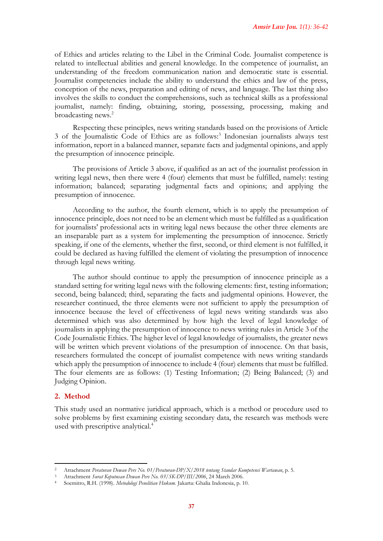of Ethics and articles relating to the Libel in the Criminal Code. Journalist competence is related to intellectual abilities and general knowledge. In the competence of journalist, an understanding of the freedom communication nation and democratic state is essential. Journalist competencies include the ability to understand the ethics and law of the press, conception of the news, preparation and editing of news, and language. The last thing also involves the skills to conduct the comprehensions, such as technical skills as a professional journalist, namely: finding, obtaining, storing, possessing, processing, making and broadcasting news.<sup>2</sup>

Respecting these principles, news writing standards based on the provisions of Article 3 of the Journalistic Code of Ethics are as follows:<sup>3</sup> Indonesian journalists always test information, report in a balanced manner, separate facts and judgmental opinions, and apply the presumption of innocence principle.

The provisions of Article 3 above, if qualified as an act of the journalist profession in writing legal news, then there were 4 (four) elements that must be fulfilled, namely: testing information; balanced; separating judgmental facts and opinions; and applying the presumption of innocence.

According to the author, the fourth element, which is to apply the presumption of innocence principle, does not need to be an element which must be fulfilled as a qualification for journalists' professional acts in writing legal news because the other three elements are an inseparable part as a system for implementing the presumption of innocence. Strictly speaking, if one of the elements, whether the first, second, or third element is not fulfilled, it could be declared as having fulfilled the element of violating the presumption of innocence through legal news writing.

The author should continue to apply the presumption of innocence principle as a standard setting for writing legal news with the following elements: first, testing information; second, being balanced; third, separating the facts and judgmental opinions. However, the researcher continued, the three elements were not sufficient to apply the presumption of innocence because the level of effectiveness of legal news writing standards was also determined which was also determined by how high the level of legal knowledge of journalists in applying the presumption of innocence to news writing rules in Article 3 of the Code Journalistic Ethics. The higher level of legal knowledge of journalists, the greater news will be written which prevent violations of the presumption of innocence. On that basis, researchers formulated the concept of journalist competence with news writing standards which apply the presumption of innocence to include 4 (four) elements that must be fulfilled. The four elements are as follows: (1) Testing Information; (2) Being Balanced; (3) and Judging Opinion.

#### **2. Method**

This study used an normative juridical approach, which is a method or procedure used to solve problems by first examining existing secondary data, the research was methods were used with prescriptive analytical.<sup>4</sup>

<sup>2</sup> Attachment *Peraturan Dewan Pers No. 01/Peraturan-DP/X/2018 tentang Standar Kompetensi Wartawan*, p. 5.

<sup>3</sup> Attachment *Surat Keputusan Dewan Pers No. 03/SK-DP/III/2006*, 24 March 2006.

<sup>4</sup> Soemitro, R.H. (1998). *Metodologi Penelitian Hukum.* Jakarta: Ghalia Indonesia, p. 10.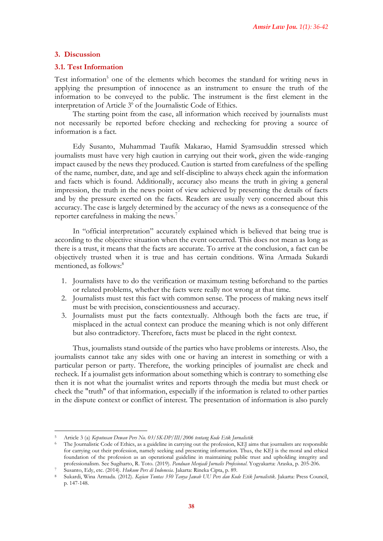# **3. Discussion**

# **3.1. Test Information**

Test information<sup>5</sup> one of the elements which becomes the standard for writing news in applying the presumption of innocence as an instrument to ensure the truth of the information to be conveyed to the public. The instrument is the first element in the interpretation of Article 3<sup>6</sup> of the Journalistic Code of Ethics.

The starting point from the case, all information which received by journalists must not necessarily be reported before checking and rechecking for proving a source of information is a fact.

Edy Susanto, Muhammad Taufik Makarao, Hamid Syamsuddin stressed which journalists must have very high caution in carrying out their work, given the wide-ranging impact caused by the news they produced. Caution is started from carefulness of the spelling of the name, number, date, and age and self-discipline to always check again the information and facts which is found. Additionally, accuracy also means the truth in giving a general impression, the truth in the news point of view achieved by presenting the details of facts and by the pressure exerted on the facts. Readers are usually very concerned about this accuracy. The case is largely determined by the accuracy of the news as a consequence of the reporter carefulness in making the news.<sup>7</sup>

In "official interpretation" accurately explained which is believed that being true is according to the objective situation when the event occurred. This does not mean as long as there is a trust, it means that the facts are accurate. To arrive at the conclusion, a fact can be objectively trusted when it is true and has certain conditions. Wina Armada Sukardi mentioned, as follows:<sup>8</sup>

- 1. Journalists have to do the verification or maximum testing beforehand to the parties or related problems, whether the facts were really not wrong at that time.
- 2. Journalists must test this fact with common sense. The process of making news itself must be with precision, conscientiousness and accuracy.
- 3. Journalists must put the facts contextually. Although both the facts are true, if misplaced in the actual context can produce the meaning which is not only different but also contradictory. Therefore, facts must be placed in the right context.

Thus, journalists stand outside of the parties who have problems or interests. Also, the journalists cannot take any sides with one or having an interest in something or with a particular person or party. Therefore, the working principles of journalist are check and recheck. If a journalist gets information about something which is contrary to something else then it is not what the journalist writes and reports through the media but must check or check the "truth" of that information, especially if the information is related to other parties in the dispute context or conflict of interest. The presentation of information is also purely

<sup>5</sup> Article 3 (a) *Keputusan Dewan Pers No. 03/SK-DP/III/2006 tentang Kode Etik Jurnalistik*

<sup>6</sup> The Journalistic Code of Ethics, as a guideline in carrying out the profession, KEJ aims that journalists are responsible for carrying out their profession, namely seeking and presenting information. Thus, the KEJ is the moral and ethical foundation of the profession as an operational guideline in maintaining public trust and upholding integrity and professionalism. See Sugiharto, R. Toto. (2019). *Panduan Menjadi Jurnalis Profesional*. Yogyakarta: Araska, p. 205-206. <sup>7</sup> Susanto, Edy, etc. (2014). *Hukum Pers di Indonesia*. Jakarta: Rineka Cipta, p. 89.

<sup>8</sup> Sukardi, Wina Armada. (2012). *Kajian Tuntas 350 Tanya Jawab UU Pers dan Kode Etik Jurnalistik*. Jakarta: Press Council, p. 147-148.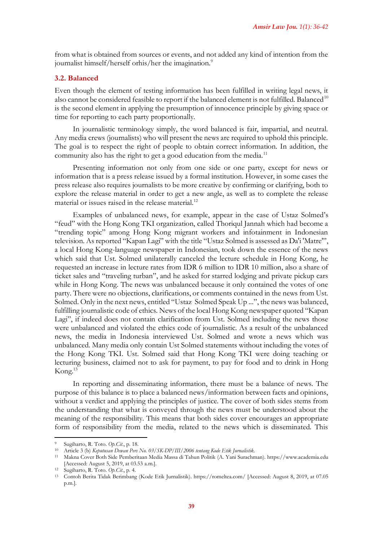from what is obtained from sources or events, and not added any kind of intention from the journalist himself/herself orhis/her the imagination.<sup>9</sup>

#### **3.2. Balanced**

Even though the element of testing information has been fulfilled in writing legal news, it also cannot be considered feasible to report if the balanced element is not fulfilled. Balanced<sup>10</sup> is the second element in applying the presumption of innocence principle by giving space or time for reporting to each party proportionally.

In journalistic terminology simply, the word balanced is fair, impartial, and neutral. Any media crews (journalists) who will present the news are required to uphold this principle. The goal is to respect the right of people to obtain correct information. In addition, the community also has the right to get a good education from the media.<sup>11</sup>

Presenting information not only from one side or one party, except for news or information that is a press release issued by a formal institution. However, in some cases the press release also requires journalists to be more creative by confirming or clarifying, both to explore the release material in order to get a new angle, as well as to complete the release material or issues raised in the release material. $^{12}$ 

Examples of unbalanced news, for example, appear in the case of Ustaz Solmed's "feud" with the Hong Kong TKI organization, called Thoriqul Jannah which had become a "trending topic" among Hong Kong migrant workers and infotainment in Indonesian television. As reported "Kapan Lagi" with the title "Ustaz Solmed is assessed as Da'i 'Matre'", a local Hong Kong-language newspaper in Indonesian, took down the essence of the news which said that Ust. Solmed unilaterally canceled the lecture schedule in Hong Kong, he requested an increase in lecture rates from IDR 6 million to IDR 10 million, also a share of ticket sales and "traveling turban", and he asked for starred lodging and private pickup cars while in Hong Kong. The news was unbalanced because it only contained the votes of one party. There were no objections, clarifications, or comments contained in the news from Ust. Solmed. Only in the next news, entitled "Ustaz Solmed Speak Up ...", the news was balanced, fulfilling journalistic code of ethics. News of the local Hong Kong newspaper quoted "Kapan Lagi", if indeed does not contain clarification from Ust. Solmed including the news those were unbalanced and violated the ethics code of journalistic. As a result of the unbalanced news, the media in Indonesia interviewed Ust. Solmed and wrote a news which was unbalanced. Many media only contain Ust Solmed statements without including the votes of the Hong Kong TKI. Ust. Solmed said that Hong Kong TKI were doing teaching or lecturing business, claimed not to ask for payment, to pay for food and to drink in Hong Kong.<sup>13</sup>

In reporting and disseminating information, there must be a balance of news. The purpose of this balance is to place a balanced news/information between facts and opinions, without a verdict and applying the principles of justice. The cover of both sides stems from the understanding that what is conveyed through the news must be understood about the meaning of the responsibility. This means that both sides cover encourages an appropriate form of responsibility from the media, related to the news which is disseminated. This

<sup>9</sup> Sugiharto, R. Toto. *Op.Cit*., p. 18.

<sup>10</sup> Article 3 (b) *Keputusan Dewan Pers No. 03/SK-DP/III/2006 tentang Kode Etik Jurnalistik.*

<sup>11</sup> Makna Cover Both Side Pemberitaan Media Massa di Tahun Politik (A. Yani Surachman). https://www.academia.edu [Accessed: August 5, 2019, at 03.53 a.m.].

<sup>12</sup> Sugiharto, R. Toto. *Op.Cit*., p. 4.

<sup>13</sup> Contoh Berita Tidak Berimbang (Kode Etik Jurnalistik). https://romeltea.com/ [Accessed: August 8, 2019, at 07.05 p.m.].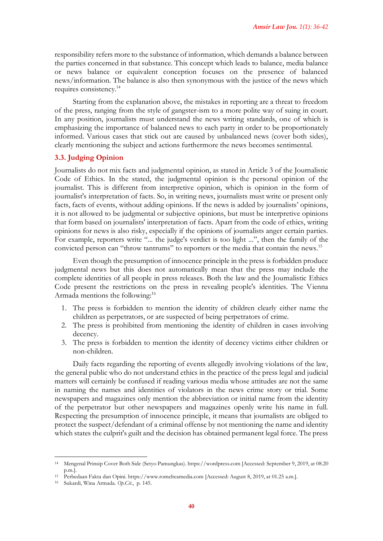responsibility refers more to the substance of information, which demands a balance between the parties concerned in that substance. This concept which leads to balance, media balance or news balance or equivalent conception focuses on the presence of balanced news/information. The balance is also then synonymous with the justice of the news which requires consistency.<sup>14</sup>

Starting from the explanation above, the mistakes in reporting are a threat to freedom of the press, ranging from the style of gangster-ism to a more polite way of suing in court. In any position, journalists must understand the news writing standards, one of which is emphasizing the importance of balanced news to each party in order to be proportionately informed. Various cases that stick out are caused by unbalanced news (cover both sides), clearly mentioning the subject and actions furthermore the news becomes sentimental.

# **3.3. Judging Opinion**

Journalists do not mix facts and judgmental opinion, as stated in Article 3 of the Journalistic Code of Ethics. In the stated, the judgmental opinion is the personal opinion of the journalist. This is different from interpretive opinion, which is opinion in the form of journalist's interpretation of facts. So, in writing news, journalists must write or present only facts, facts of events, without adding opinions. If the news is added by journalists' opinions, it is not allowed to be judgmental or subjective opinions, but must be interpretive opinions that form based on journalists' interpretation of facts. Apart from the code of ethics, writing opinions for news is also risky, especially if the opinions of journalists anger certain parties. For example, reporters write "... the judge's verdict is too light ...", then the family of the convicted person can "throw tantrums" to reporters or the media that contain the news.<sup>15</sup>

Even though the presumption of innocence principle in the press is forbidden produce judgmental news but this does not automatically mean that the press may include the complete identities of all people in press releases. Both the law and the Journalistic Ethics Code present the restrictions on the press in revealing people's identities. The Vienna Armada mentions the following:<sup>16</sup>

- 1. The press is forbidden to mention the identity of children clearly either name the children as perpetrators, or are suspected of being perpetrators of crime.
- 2. The press is prohibited from mentioning the identity of children in cases involving decency.
- 3. The press is forbidden to mention the identity of decency victims either children or non-children.

Daily facts regarding the reporting of events allegedly involving violations of the law, the general public who do not understand ethics in the practice of the press legal and judicial matters will certainly be confused if reading various media whose attitudes are not the same in naming the names and identities of violators in the news crime story or trial. Some newspapers and magazines only mention the abbreviation or initial name from the identity of the perpetrator but other newspapers and magazines openly write his name in full. Respecting the presumption of innocence principle, it means that journalists are obliged to protect the suspect/defendant of a criminal offense by not mentioning the name and identity which states the culprit's guilt and the decision has obtained permanent legal force. The press

<sup>14</sup> Mengenal Prinsip Cover Both Side (Setyo Pamungkas). https://wordpress.com [Accessed: September 9, 2019, at 08.20 p.m.].

<sup>15</sup> Perbedaan Fakta dan Opini. [https://www.romelteamedia.com](https://www.romelteamedia.com/) [Accessed: August 8, 2019, at 01.25 a.m.].

<sup>16</sup> Sukardi, Wina Armada. *Op.Cit*., p. 145.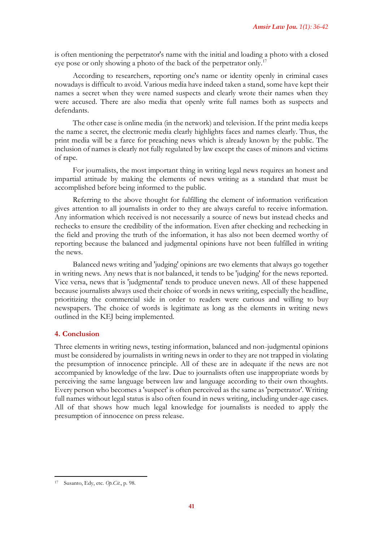is often mentioning the perpetrator's name with the initial and loading a photo with a closed eye pose or only showing a photo of the back of the perpetrator only.<sup>17</sup>

According to researchers, reporting one's name or identity openly in criminal cases nowadays is difficult to avoid. Various media have indeed taken a stand, some have kept their names a secret when they were named suspects and clearly wrote their names when they were accused. There are also media that openly write full names both as suspects and defendants.

The other case is online media (in the network) and television. If the print media keeps the name a secret, the electronic media clearly highlights faces and names clearly. Thus, the print media will be a farce for preaching news which is already known by the public. The inclusion of names is clearly not fully regulated by law except the cases of minors and victims of rape.

For journalists, the most important thing in writing legal news requires an honest and impartial attitude by making the elements of news writing as a standard that must be accomplished before being informed to the public.

Referring to the above thought for fulfilling the element of information verification gives attention to all journalists in order to they are always careful to receive information. Any information which received is not necessarily a source of news but instead checks and rechecks to ensure the credibility of the information. Even after checking and rechecking in the field and proving the truth of the information, it has also not been deemed worthy of reporting because the balanced and judgmental opinions have not been fulfilled in writing the news.

Balanced news writing and 'judging' opinions are two elements that always go together in writing news. Any news that is not balanced, it tends to be 'judging' for the news reported. Vice versa, news that is 'judgmental' tends to produce uneven news. All of these happened because journalists always used their choice of words in news writing, especially the headline, prioritizing the commercial side in order to readers were curious and willing to buy newspapers. The choice of words is legitimate as long as the elements in writing news outlined in the KEJ being implemented.

## **4. Conclusion**

Three elements in writing news, testing information, balanced and non-judgmental opinions must be considered by journalists in writing news in order to they are not trapped in violating the presumption of innocence principle. All of these are in adequate if the news are not accompanied by knowledge of the law. Due to journalists often use inappropriate words by perceiving the same language between law and language according to their own thoughts. Every person who becomes a 'suspect' is often perceived as the same as 'perpetrator'. Writing full names without legal status is also often found in news writing, including under-age cases. All of that shows how much legal knowledge for journalists is needed to apply the presumption of innocence on press release.

<sup>17</sup> Susanto, Edy, etc. *Op.Cit.*, p. 98.